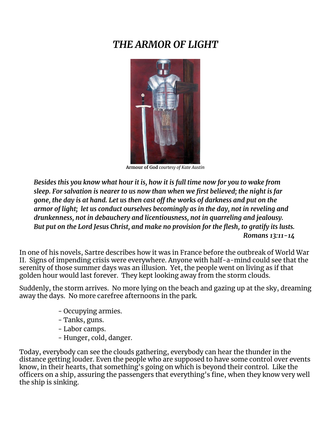# *THE ARMOR OF LIGHT*



**Armour of God** *courtesy of Kate Austin*

*Besides this you know what hour it is, how it is full time now for you to wake from sleep. For salvation is nearer to us now than when we first believed; the night is far gone, the day is at hand. Let us then cast off the works of darkness and put on the armor of light; let us conduct ourselves becomingly as in the day, not in reveling and drunkenness, not in debauchery and licentiousness, not in quarreling and jealousy. But put on the Lord Jesus Christ, and make no provision for the flesh, to gratify its lusts. Romans 13:11-14*

In one of his novels, Sartre describes how it was in France before the outbreak of World War II. Signs of impending crisis were everywhere. Anyone with half-a-mind could see that the serenity of those summer days was an illusion. Yet, the people went on living as if that golden hour would last forever. They kept looking away from the storm clouds.

Suddenly, the storm arrives. No more lying on the beach and gazing up at the sky, dreaming away the days. No more carefree afternoons in the park.

- Occupying armies.
- Tanks, guns.
- Labor camps.
- Hunger, cold, danger.

Today, everybody can see the clouds gathering, everybody can hear the thunder in the distance getting louder. Even the people who are supposed to have some control over events know, in their hearts, that something's going on which is beyond their control. Like the officers on a ship, assuring the passengers that everything's fine, when they know very well the ship is sinking.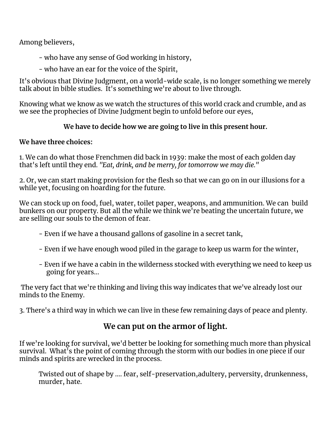Among believers,

- who have any sense of God working in history,
- who have an ear for the voice of the Spirit,

It's obvious that Divine Judgment, on a world-wide scale, is no longer something we merely talk about in bible studies. It's something we're about to live through.

Knowing what we know as we watch the structures of this world crack and crumble, and as we see the prophecies of Divine Judgment begin to unfold before our eyes,

## **We have to decide how we are going to live in this present hour.**

## **We have three choices:**

1. We can do what those Frenchmen did back in 1939: make the most of each golden day that's left until they end. *"Eat, drink, and be merry, for tomorrow we may die."*

2. Or, we can start making provision for the flesh so that we can go on in our illusions for a while yet, focusing on hoarding for the future.

We can stock up on food, fuel, water, toilet paper, weapons, and ammunition. We can build bunkers on our property. But all the while we think we're beating the uncertain future, we are selling our souls to the demon of fear.

- Even if we have a thousand gallons of gasoline in a secret tank,
- Even if we have enough wood piled in the garage to keep us warm for the winter,
- Even if we have a cabin in the wilderness stocked with everything we need to keep us going for years...

The very fact that we're thinking and living this way indicates that we've already lost our minds to the Enemy.

3. There's a third way in which we can live in these few remaining days of peace and plenty.

## **We can put on the armor of light.**

If we're looking for survival, we'd better be looking for something much more than physical survival. What's the point of coming through the storm with our bodies in one piece if our minds and spirits are wrecked in the process.

Twisted out of shape by …. fear, self-preservation,adultery, perversity, drunkenness, murder, hate.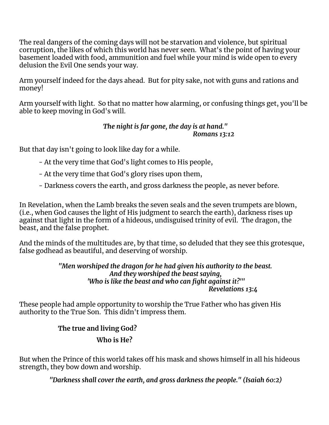The real dangers of the coming days will not be starvation and violence, but spiritual corruption, the likes of which this world has never seen. What's the point of having your basement loaded with food, ammunition and fuel while your mind is wide open to every delusion the Evil One sends your way.

Arm yourself indeed for the days ahead. But for pity sake, not with guns and rations and money!

Arm yourself with light. So that no matter how alarming, or confusing things get, you'll be able to keep moving in God's will.

### *The night is far gone, the day is at hand." Romans 13:12*

But that day isn't going to look like day for a while.

- At the very time that God's light comes to His people,
- At the very time that God's glory rises upon them,
- Darkness covers the earth, and gross darkness the people, as never before.

In Revelation, when the Lamb breaks the seven seals and the seven trumpets are blown, (i.e., when God causes the light of His judgment to search the earth), darkness rises up against that light in the form of a hideous, undisguised trinity of evil. The dragon, the beast, and the false prophet.

And the minds of the multitudes are, by that time, so deluded that they see this grotesque, false godhead as beautiful, and deserving of worship.

> *"Men worshiped the dragon for he had given his authority to the beast. And they worshiped the beast saying, 'Who is like the beast and who can fight against it?'" Revelations 13:4*

These people had ample opportunity to worship the True Father who has given His authority to the True Son. This didn't impress them.

## **The true and living God?**

## **Who is He?**

But when the Prince of this world takes off his mask and shows himself in all his hideous strength, they bow down and worship.

*"Darkness shall cover the earth, and gross darkness the people." (Isaiah 60:2)*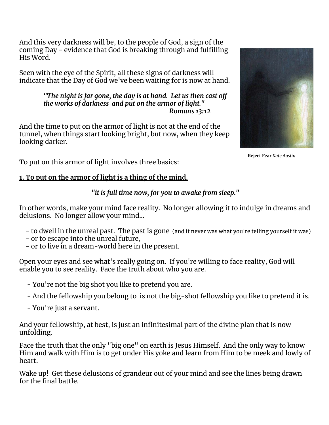And this very darkness will be, to the people of God, a sign of the coming Day - evidence that God is breaking through and fulfilling His Word.

Seen with the eye of the Spirit, all these signs of darkness will indicate that the Day of God we've been waiting for is now at hand.

#### *"The night is far gone, the day is at hand. Let us then cast off the works of darkness and put on the armor of light." Romans 13:12*

And the time to put on the armor of light is not at the end of the tunnel, when things start looking bright, but now, when they keep looking darker.



**Reject Fear** *Kate Austin*

To put on this armor of light involves three basics:

## **1. To put on the armor of light is a thing of the mind.**

### *"it is full time now, for you to awake from sleep."*

In other words, make your mind face reality. No longer allowing it to indulge in dreams and delusions. No longer allow your mind…

- to dwell in the unreal past. The past is gone (and it never was what you're telling yourself it was)
- or to escape into the unreal future,
- or to live in a dream-world here in the present.

Open your eyes and see what's really going on. If you're willing to face reality, God will enable you to see reality. Face the truth about who you are.

- You're not the big shot you like to pretend you are.
- And the fellowship you belong to is not the big-shot fellowship you like to pretend it is.
- You're just a servant.

And your fellowship, at best, is just an infinitesimal part of the divine plan that is now unfolding.

Face the truth that the only "big one" on earth is Jesus Himself. And the only way to know Him and walk with Him is to get under His yoke and learn from Him to be meek and lowly of heart.

Wake up! Get these delusions of grandeur out of your mind and see the lines being drawn for the final battle.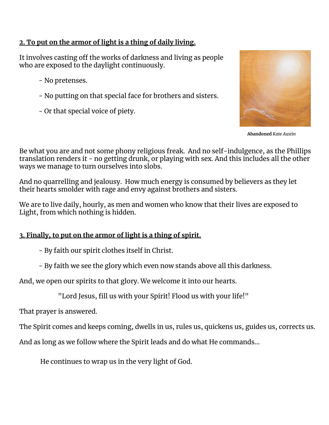## **2. To put on the armor of light is a thing of daily living.**

It involves casting off the works of darkness and living as people who are exposed to the daylight continuously.

- No pretenses.
- No putting on that special face for brothers and sisters.
- Or that special voice of piety.



**Abandoned** *Kate Austin*

Be what you are and not some phony religious freak. And no self-indulgence, as the Phillips translation renders it - no getting drunk, or playing with sex. And this includes all the other ways we manage to turn ourselves into slobs.

And no quarrelling and jealousy. How much energy is consumed by believers as they let their hearts smolder with rage and envy against brothers and sisters.

We are to live daily, hourly, as men and women who know that their lives are exposed to Light, from which nothing is hidden.

### **3. Finally, to put on the armor of light is a thing of spirit.**

- By faith our spirit clothes itself in Christ.

- By faith we see the glory which even now stands above all this darkness.

And, we open our spirits to that glory. We welcome it into our hearts.

"Lord Jesus, fill us with your Spirit! Flood us with your life!"

That prayer is answered.

The Spirit comes and keeps coming, dwells in us, rules us, quickens us, guides us, corrects us.

And as long as we follow where the Spirit leads and do what He commands…

He continues to wrap us in the very light of God.